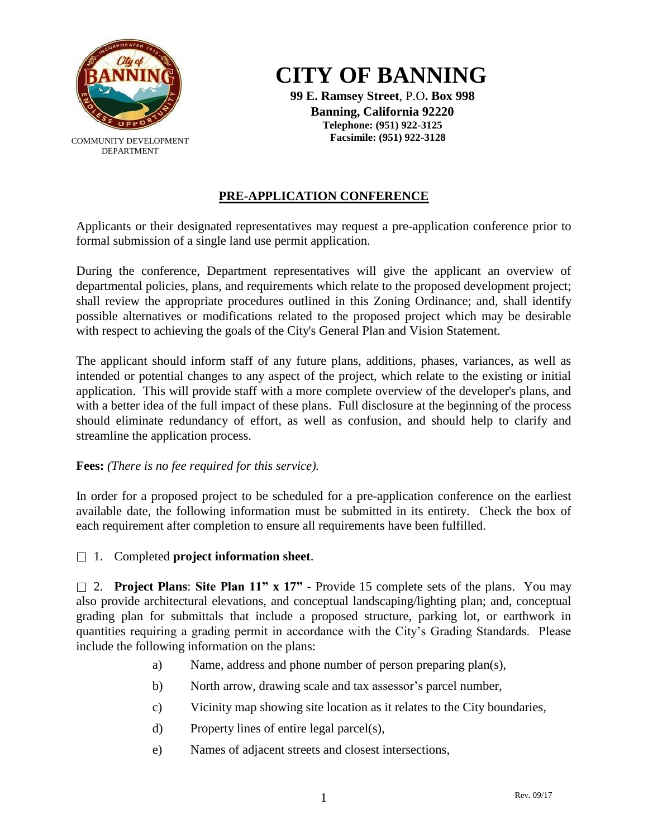

COMMUNITY DEVELOPMENT DEPARTMENT

# **CITY OF BANNING**

**99 E. Ramsey Street**, P.O**. Box 998 Banning, California 92220 Telephone: (951) 922-3125 Facsimile: (951) 922-3128**

# **PRE-APPLICATION CONFERENCE**

Applicants or their designated representatives may request a pre-application conference prior to formal submission of a single land use permit application.

During the conference, Department representatives will give the applicant an overview of departmental policies, plans, and requirements which relate to the proposed development project; shall review the appropriate procedures outlined in this Zoning Ordinance; and, shall identify possible alternatives or modifications related to the proposed project which may be desirable with respect to achieving the goals of the City's General Plan and Vision Statement.

The applicant should inform staff of any future plans, additions, phases, variances, as well as intended or potential changes to any aspect of the project, which relate to the existing or initial application. This will provide staff with a more complete overview of the developer's plans, and with a better idea of the full impact of these plans. Full disclosure at the beginning of the process should eliminate redundancy of effort, as well as confusion, and should help to clarify and streamline the application process.

## **Fees:** *(There is no fee required for this service).*

In order for a proposed project to be scheduled for a pre-application conference on the earliest available date, the following information must be submitted in its entirety. Check the box of each requirement after completion to ensure all requirements have been fulfilled.

1. Completed **project information sheet**.

2. **Project Plans**: **Site Plan 11" x 17"** - Provide 15 complete sets of the plans. You may also provide architectural elevations, and conceptual landscaping/lighting plan; and, conceptual grading plan for submittals that include a proposed structure, parking lot, or earthwork in quantities requiring a grading permit in accordance with the City's Grading Standards. Please include the following information on the plans:

- a) Name, address and phone number of person preparing plan(s),
- b) North arrow, drawing scale and tax assessor's parcel number,
- c) Vicinity map showing site location as it relates to the City boundaries,
- d) Property lines of entire legal parcel(s),
- e) Names of adjacent streets and closest intersections,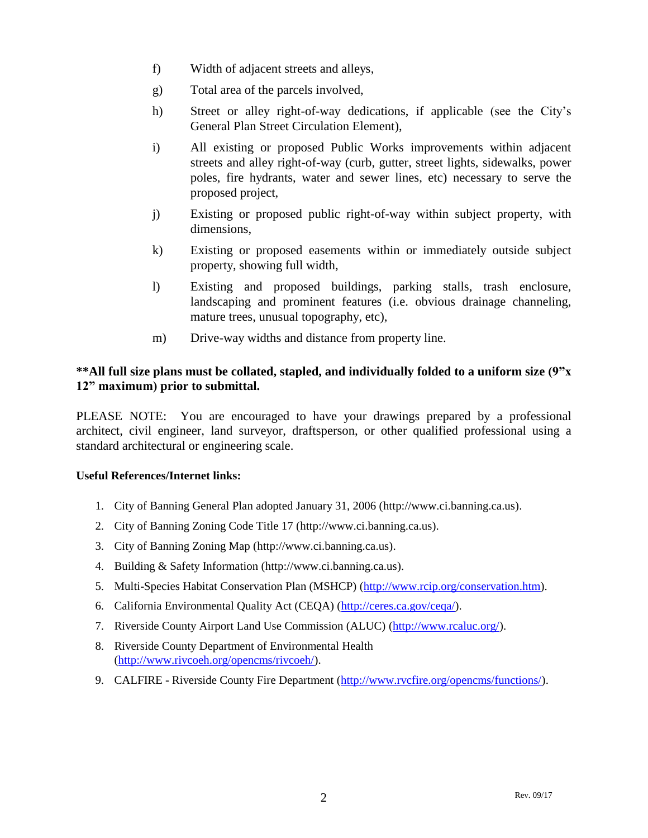- f) Width of adjacent streets and alleys,
- g) Total area of the parcels involved,
- h) Street or alley right-of-way dedications, if applicable (see the City's General Plan Street Circulation Element),
- i) All existing or proposed Public Works improvements within adjacent streets and alley right-of-way (curb, gutter, street lights, sidewalks, power poles, fire hydrants, water and sewer lines, etc) necessary to serve the proposed project,
- j) Existing or proposed public right-of-way within subject property, with dimensions,
- k) Existing or proposed easements within or immediately outside subject property, showing full width,
- l) Existing and proposed buildings, parking stalls, trash enclosure, landscaping and prominent features (i.e. obvious drainage channeling, mature trees, unusual topography, etc),
- m) Drive-way widths and distance from property line.

## **\*\*All full size plans must be collated, stapled, and individually folded to a uniform size (9"x 12" maximum) prior to submittal.**

PLEASE NOTE: You are encouraged to have your drawings prepared by a professional architect, civil engineer, land surveyor, draftsperson, or other qualified professional using a standard architectural or engineering scale.

#### **Useful References/Internet links:**

- 1. City of Banning General Plan adopted January 31, 2006 (http://www.ci.banning.ca.us).
- 2. City of Banning Zoning Code Title 17 (http://www.ci.banning.ca.us).
- 3. City of Banning Zoning Map (http://www.ci.banning.ca.us).
- 4. Building & Safety Information (http://www.ci.banning.ca.us).
- 5. Multi-Species Habitat Conservation Plan (MSHCP) [\(http://www.rcip.org/conservation.htm\)](http://www.rcip.org/conservation.htm).
- 6. California Environmental Quality Act (CEQA) [\(http://ceres.ca.gov/ceqa/\)](http://ceres.ca.gov/ceqa/).
- 7. Riverside County Airport Land Use Commission (ALUC) [\(http://www.rcaluc.org/\)](http://www.rcaluc.org/).
- 8. Riverside County Department of Environmental Health [\(http://www.rivcoeh.org/opencms/rivcoeh/\)](http://www.rivcoeh.org/opencms/rivcoeh/).
- 9. CALFIRE Riverside County Fire Department [\(http://www.rvcfire.org/opencms/functions/\)](http://www.rvcfire.org/opencms/functions/).